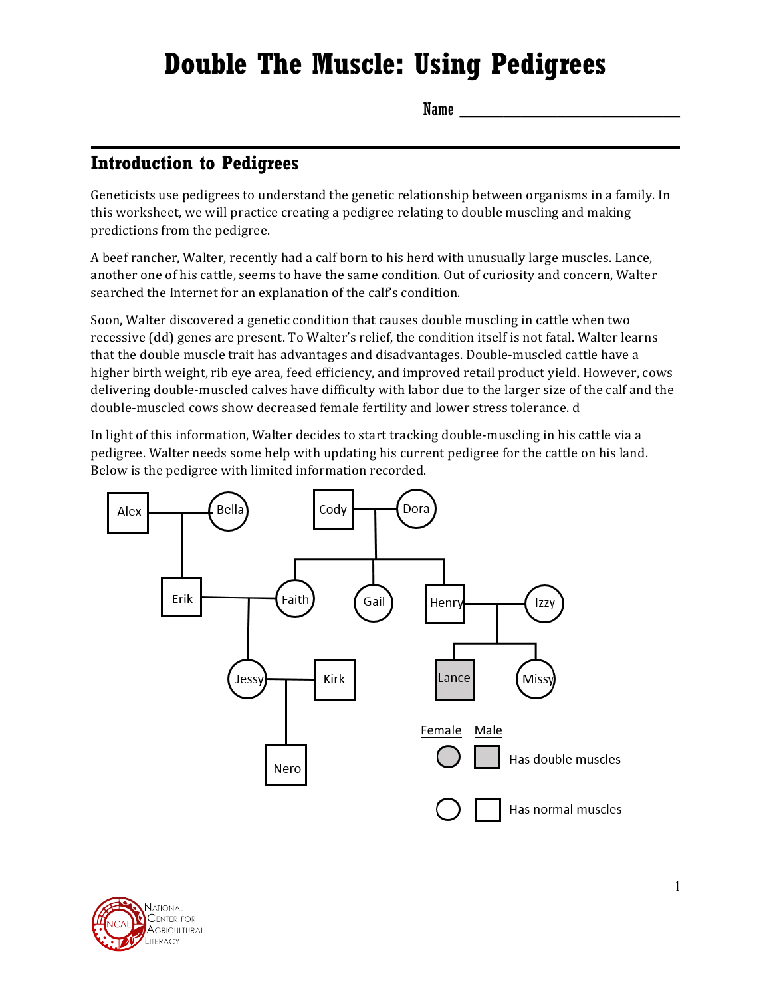# **Double The Muscle: Using Pedigrees**

 $Name \fbox{\fbox{12cm}}$ 

#### **Introduction to Pedigrees**

Geneticists use pedigrees to understand the genetic relationship between organisms in a family. In this worksheet, we will practice creating a pedigree relating to double muscling and making predictions from the pedigree.

A beef rancher, Walter, recently had a calf born to his herd with unusually large muscles. Lance, another one of his cattle, seems to have the same condition. Out of curiosity and concern, Walter searched the Internet for an explanation of the calf's condition.

Soon, Walter discovered a genetic condition that causes double muscling in cattle when two recessive (dd) genes are present. To Walter's relief, the condition itself is not fatal. Walter learns that the double muscle trait has advantages and disadvantages. Double-muscled cattle have a higher birth weight, rib eye area, feed efficiency, and improved retail product yield. However, cows delivering double-muscled calves have difficulty with labor due to the larger size of the calf and the double-muscled cows show decreased female fertility and lower stress tolerance. d

In light of this information, Walter decides to start tracking double-muscling in his cattle via a pedigree. Walter needs some help with updating his current pedigree for the cattle on his land. Below is the pedigree with limited information recorded.



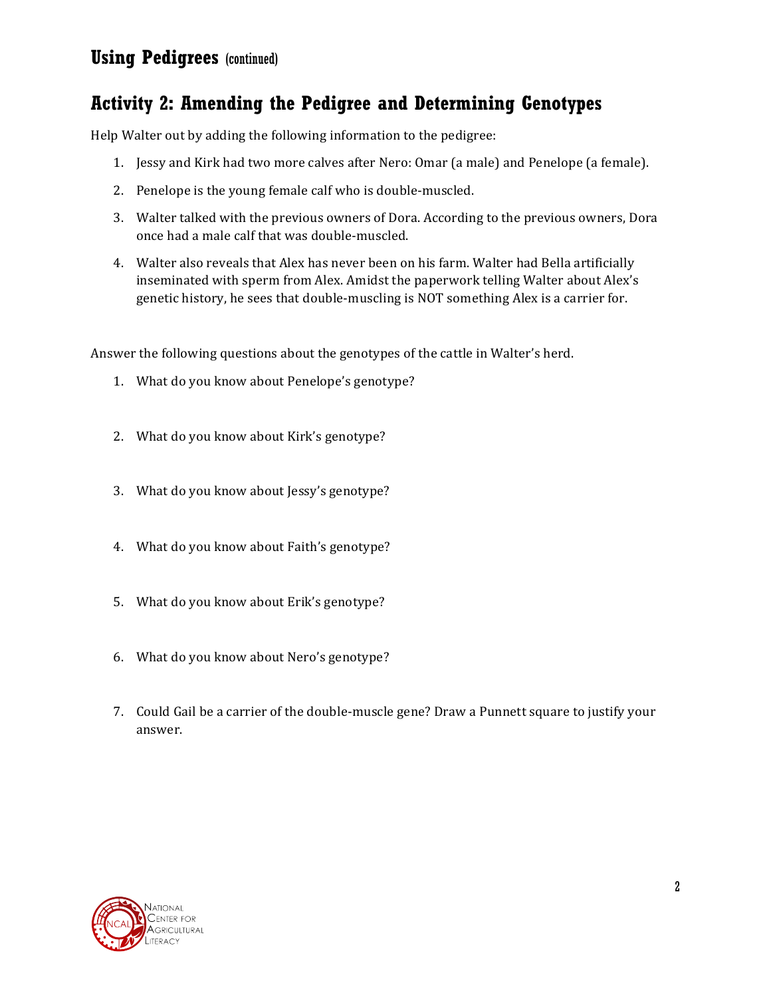#### **Using Pedigrees** (continued)

### **Activity 2: Amending the Pedigree and Determining Genotypes**

Help Walter out by adding the following information to the pedigree:

- 1. Jessy and Kirk had two more calves after Nero: Omar (a male) and Penelope (a female).
- 2. Penelope is the young female calf who is double-muscled.
- 3. Walter talked with the previous owners of Dora. According to the previous owners, Dora once had a male calf that was double-muscled.
- 4. Walter also reveals that Alex has never been on his farm. Walter had Bella artificially inseminated with sperm from Alex. Amidst the paperwork telling Walter about Alex's genetic history, he sees that double-muscling is NOT something Alex is a carrier for.

Answer the following questions about the genotypes of the cattle in Walter's herd.

- 1. What do you know about Penelope's genotype?
- 2. What do you know about Kirk's genotype?
- 3. What do you know about Jessy's genotype?
- 4. What do you know about Faith's genotype?
- 5. What do you know about Erik's genotype?
- 6. What do you know about Nero's genotype?
- 7. Could Gail be a carrier of the double-muscle gene? Draw a Punnett square to justify your answer.